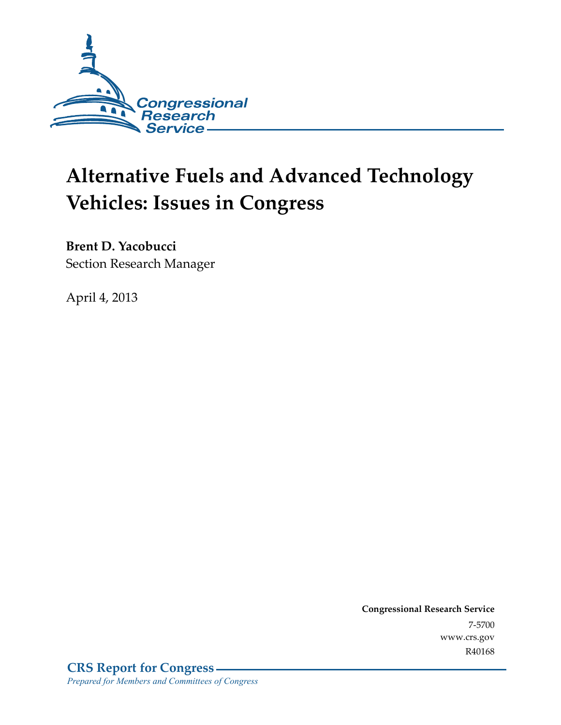

# **Alternative Fuels and Advanced Technology Vehicles: Issues in Congress**

**Brent D. Yacobucci**  Section Research Manager

April 4, 2013

**Congressional Research Service**  7-5700 www.crs.gov R40168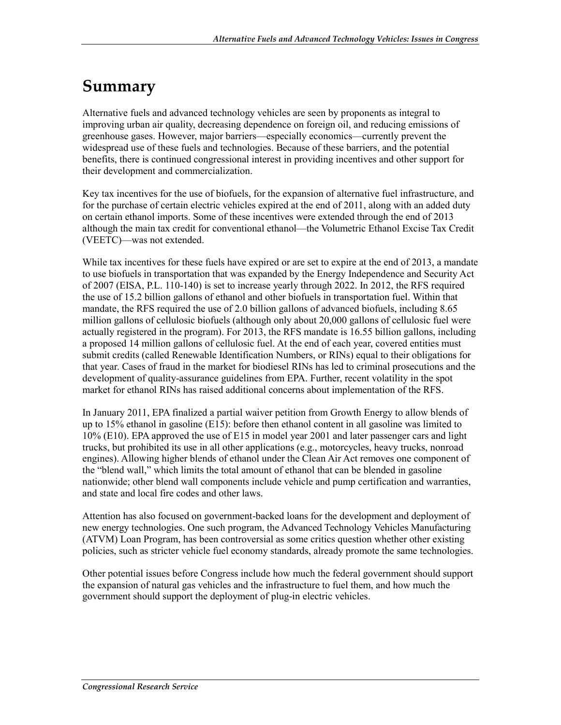# **Summary**

Alternative fuels and advanced technology vehicles are seen by proponents as integral to improving urban air quality, decreasing dependence on foreign oil, and reducing emissions of greenhouse gases. However, major barriers—especially economics—currently prevent the widespread use of these fuels and technologies. Because of these barriers, and the potential benefits, there is continued congressional interest in providing incentives and other support for their development and commercialization.

Key tax incentives for the use of biofuels, for the expansion of alternative fuel infrastructure, and for the purchase of certain electric vehicles expired at the end of 2011, along with an added duty on certain ethanol imports. Some of these incentives were extended through the end of 2013 although the main tax credit for conventional ethanol—the Volumetric Ethanol Excise Tax Credit (VEETC)—was not extended.

While tax incentives for these fuels have expired or are set to expire at the end of 2013, a mandate to use biofuels in transportation that was expanded by the Energy Independence and Security Act of 2007 (EISA, P.L. 110-140) is set to increase yearly through 2022. In 2012, the RFS required the use of 15.2 billion gallons of ethanol and other biofuels in transportation fuel. Within that mandate, the RFS required the use of 2.0 billion gallons of advanced biofuels, including 8.65 million gallons of cellulosic biofuels (although only about 20,000 gallons of cellulosic fuel were actually registered in the program). For 2013, the RFS mandate is 16.55 billion gallons, including a proposed 14 million gallons of cellulosic fuel. At the end of each year, covered entities must submit credits (called Renewable Identification Numbers, or RINs) equal to their obligations for that year. Cases of fraud in the market for biodiesel RINs has led to criminal prosecutions and the development of quality-assurance guidelines from EPA. Further, recent volatility in the spot market for ethanol RINs has raised additional concerns about implementation of the RFS.

In January 2011, EPA finalized a partial waiver petition from Growth Energy to allow blends of up to 15% ethanol in gasoline (E15): before then ethanol content in all gasoline was limited to 10% (E10). EPA approved the use of E15 in model year 2001 and later passenger cars and light trucks, but prohibited its use in all other applications (e.g., motorcycles, heavy trucks, nonroad engines). Allowing higher blends of ethanol under the Clean Air Act removes one component of the "blend wall," which limits the total amount of ethanol that can be blended in gasoline nationwide; other blend wall components include vehicle and pump certification and warranties, and state and local fire codes and other laws.

Attention has also focused on government-backed loans for the development and deployment of new energy technologies. One such program, the Advanced Technology Vehicles Manufacturing (ATVM) Loan Program, has been controversial as some critics question whether other existing policies, such as stricter vehicle fuel economy standards, already promote the same technologies.

Other potential issues before Congress include how much the federal government should support the expansion of natural gas vehicles and the infrastructure to fuel them, and how much the government should support the deployment of plug-in electric vehicles.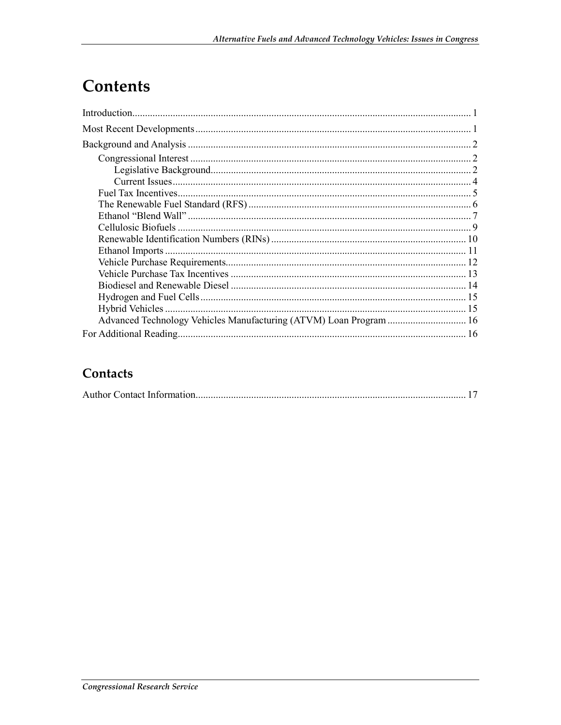# Contents

## Contacts

|--|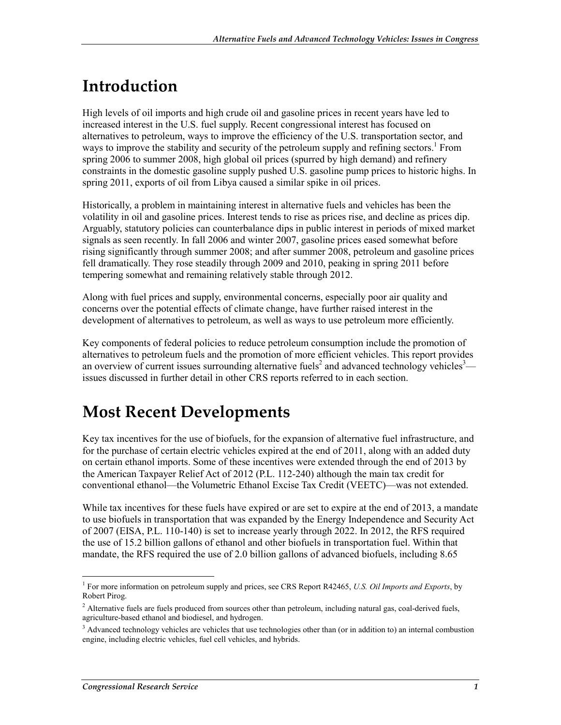# **Introduction**

High levels of oil imports and high crude oil and gasoline prices in recent years have led to increased interest in the U.S. fuel supply. Recent congressional interest has focused on alternatives to petroleum, ways to improve the efficiency of the U.S. transportation sector, and ways to improve the stability and security of the petroleum supply and refining sectors.<sup>1</sup> From spring 2006 to summer 2008, high global oil prices (spurred by high demand) and refinery constraints in the domestic gasoline supply pushed U.S. gasoline pump prices to historic highs. In spring 2011, exports of oil from Libya caused a similar spike in oil prices.

Historically, a problem in maintaining interest in alternative fuels and vehicles has been the volatility in oil and gasoline prices. Interest tends to rise as prices rise, and decline as prices dip. Arguably, statutory policies can counterbalance dips in public interest in periods of mixed market signals as seen recently. In fall 2006 and winter 2007, gasoline prices eased somewhat before rising significantly through summer 2008; and after summer 2008, petroleum and gasoline prices fell dramatically. They rose steadily through 2009 and 2010, peaking in spring 2011 before tempering somewhat and remaining relatively stable through 2012.

Along with fuel prices and supply, environmental concerns, especially poor air quality and concerns over the potential effects of climate change, have further raised interest in the development of alternatives to petroleum, as well as ways to use petroleum more efficiently.

Key components of federal policies to reduce petroleum consumption include the promotion of alternatives to petroleum fuels and the promotion of more efficient vehicles. This report provides an overview of current issues surrounding alternative fuels<sup>2</sup> and advanced technology vehicles<sup>3</sup> issues discussed in further detail in other CRS reports referred to in each section.

# **Most Recent Developments**

Key tax incentives for the use of biofuels, for the expansion of alternative fuel infrastructure, and for the purchase of certain electric vehicles expired at the end of 2011, along with an added duty on certain ethanol imports. Some of these incentives were extended through the end of 2013 by the American Taxpayer Relief Act of 2012 (P.L. 112-240) although the main tax credit for conventional ethanol—the Volumetric Ethanol Excise Tax Credit (VEETC)—was not extended.

While tax incentives for these fuels have expired or are set to expire at the end of 2013, a mandate to use biofuels in transportation that was expanded by the Energy Independence and Security Act of 2007 (EISA, P.L. 110-140) is set to increase yearly through 2022. In 2012, the RFS required the use of 15.2 billion gallons of ethanol and other biofuels in transportation fuel. Within that mandate, the RFS required the use of 2.0 billion gallons of advanced biofuels, including 8.65

1

<sup>1</sup> For more information on petroleum supply and prices, see CRS Report R42465, *U.S. Oil Imports and Exports*, by Robert Pirog.

<sup>&</sup>lt;sup>2</sup> Alternative fuels are fuels produced from sources other than petroleum, including natural gas, coal-derived fuels, agriculture-based ethanol and biodiesel, and hydrogen.

<sup>&</sup>lt;sup>3</sup> Advanced technology vehicles are vehicles that use technologies other than (or in addition to) an internal combustion engine, including electric vehicles, fuel cell vehicles, and hybrids.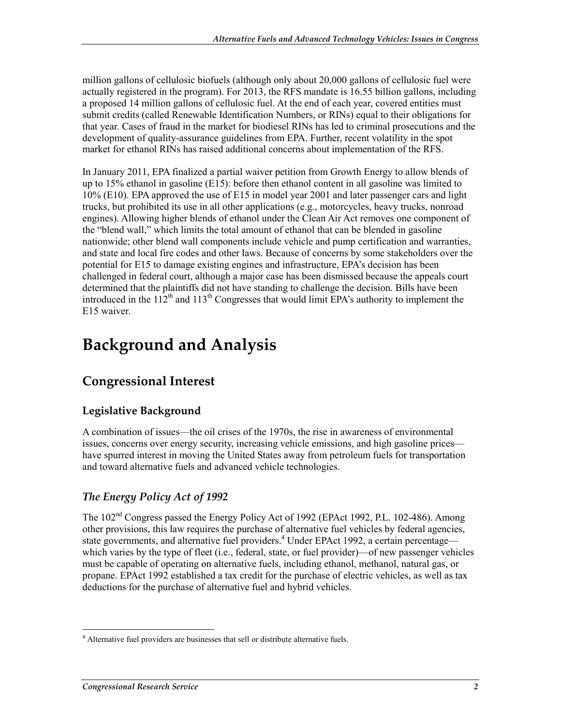million gallons of cellulosic biofuels (although only about 20,000 gallons of cellulosic fuel were actually registered in the program). For 2013, the RFS mandate is 16.55 billion gallons, including a proposed 14 million gallons of cellulosic fuel. At the end of each year, covered entities must submit credits (called Renewable Identification Numbers, or RINs) equal to their obligations for that year. Cases of fraud in the market for biodiesel RINs has led to criminal prosecutions and the development of quality-assurance guidelines from EPA. Further, recent volatility in the spot market for ethanol RINs has raised additional concerns about implementation of the RFS.

In January 2011, EPA finalized a partial waiver petition from Growth Energy to allow blends of up to 15% ethanol in gasoline (E15): before then ethanol content in all gasoline was limited to 10% (E10). EPA approved the use of E15 in model year 2001 and later passenger cars and light trucks, but prohibited its use in all other applications (e.g., motorcycles, heavy trucks, nonroad engines). Allowing higher blends of ethanol under the Clean Air Act removes one component of the "blend wall," which limits the total amount of ethanol that can be blended in gasoline nationwide; other blend wall components include vehicle and pump certification and warranties, and state and local fire codes and other laws. Because of concerns by some stakeholders over the potential for E15 to damage existing engines and infrastructure, EPA's decision has been challenged in federal court, although a major case has been dismissed because the appeals court determined that the plaintiffs did not have standing to challenge the decision. Bills have been introduced in the  $112^{th}$  and  $113^{th}$  Congresses that would limit EPA's authority to implement the E15 waiver.

# **Background and Analysis**

# **Congressional Interest**

### **Legislative Background**

A combination of issues—the oil crises of the 1970s, the rise in awareness of environmental issues, concerns over energy security, increasing vehicle emissions, and high gasoline prices have spurred interest in moving the United States away from petroleum fuels for transportation and toward alternative fuels and advanced vehicle technologies.

### *The Energy Policy Act of 1992*

The 102<sup>nd</sup> Congress passed the Energy Policy Act of 1992 (EPAct 1992, P.L. 102-486). Among other provisions, this law requires the purchase of alternative fuel vehicles by federal agencies, state governments, and alternative fuel providers.<sup>4</sup> Under EPAct 1992, a certain percentage which varies by the type of fleet (i.e., federal, state, or fuel provider)—of new passenger vehicles must be capable of operating on alternative fuels, including ethanol, methanol, natural gas, or propane. EPAct 1992 established a tax credit for the purchase of electric vehicles, as well as tax deductions for the purchase of alternative fuel and hybrid vehicles.

<sup>&</sup>lt;u>.</u> <sup>4</sup> Alternative fuel providers are businesses that sell or distribute alternative fuels.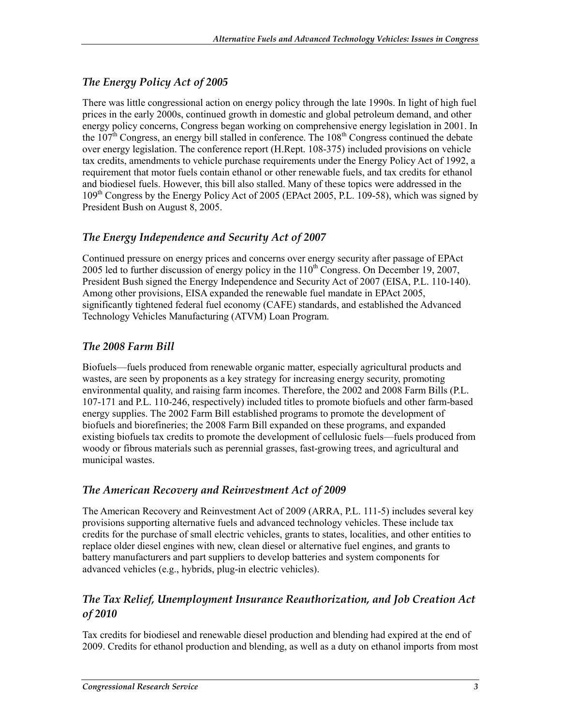### *The Energy Policy Act of 2005*

There was little congressional action on energy policy through the late 1990s. In light of high fuel prices in the early 2000s, continued growth in domestic and global petroleum demand, and other energy policy concerns, Congress began working on comprehensive energy legislation in 2001. In the  $107<sup>th</sup>$  Congress, an energy bill stalled in conference. The  $108<sup>th</sup>$  Congress continued the debate over energy legislation. The conference report (H.Rept. 108-375) included provisions on vehicle tax credits, amendments to vehicle purchase requirements under the Energy Policy Act of 1992, a requirement that motor fuels contain ethanol or other renewable fuels, and tax credits for ethanol and biodiesel fuels. However, this bill also stalled. Many of these topics were addressed in the 109th Congress by the Energy Policy Act of 2005 (EPAct 2005, P.L. 109-58), which was signed by President Bush on August 8, 2005.

### *The Energy Independence and Security Act of 2007*

Continued pressure on energy prices and concerns over energy security after passage of EPAct 2005 led to further discussion of energy policy in the  $110<sup>th</sup>$  Congress. On December 19, 2007, President Bush signed the Energy Independence and Security Act of 2007 (EISA, P.L. 110-140). Among other provisions, EISA expanded the renewable fuel mandate in EPAct 2005, significantly tightened federal fuel economy (CAFE) standards, and established the Advanced Technology Vehicles Manufacturing (ATVM) Loan Program.

#### *The 2008 Farm Bill*

Biofuels—fuels produced from renewable organic matter, especially agricultural products and wastes, are seen by proponents as a key strategy for increasing energy security, promoting environmental quality, and raising farm incomes. Therefore, the 2002 and 2008 Farm Bills (P.L. 107-171 and P.L. 110-246, respectively) included titles to promote biofuels and other farm-based energy supplies. The 2002 Farm Bill established programs to promote the development of biofuels and biorefineries; the 2008 Farm Bill expanded on these programs, and expanded existing biofuels tax credits to promote the development of cellulosic fuels—fuels produced from woody or fibrous materials such as perennial grasses, fast-growing trees, and agricultural and municipal wastes.

#### *The American Recovery and Reinvestment Act of 2009*

The American Recovery and Reinvestment Act of 2009 (ARRA, P.L. 111-5) includes several key provisions supporting alternative fuels and advanced technology vehicles. These include tax credits for the purchase of small electric vehicles, grants to states, localities, and other entities to replace older diesel engines with new, clean diesel or alternative fuel engines, and grants to battery manufacturers and part suppliers to develop batteries and system components for advanced vehicles (e.g., hybrids, plug-in electric vehicles).

### *The Tax Relief, Unemployment Insurance Reauthorization, and Job Creation Act of 2010*

Tax credits for biodiesel and renewable diesel production and blending had expired at the end of 2009. Credits for ethanol production and blending, as well as a duty on ethanol imports from most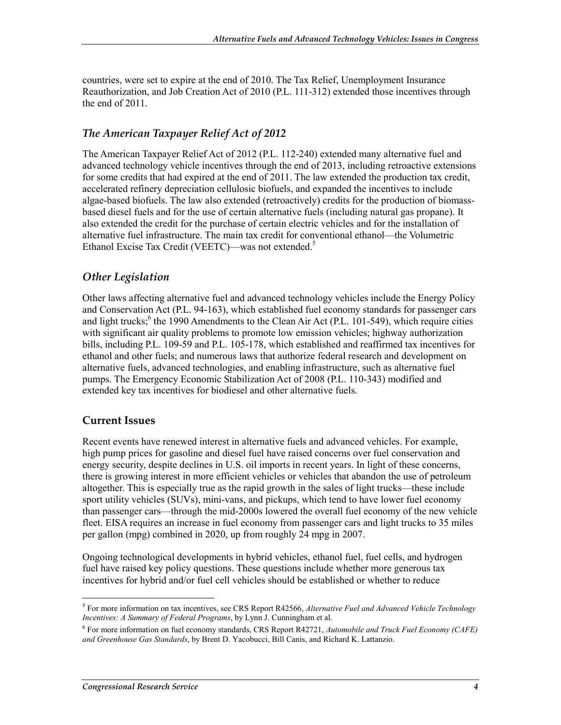countries, were set to expire at the end of 2010. The Tax Relief, Unemployment Insurance Reauthorization, and Job Creation Act of 2010 (P.L. 111-312) extended those incentives through the end of 2011.

#### *The American Taxpayer Relief Act of 2012*

The American Taxpayer Relief Act of 2012 (P.L. 112-240) extended many alternative fuel and advanced technology vehicle incentives through the end of 2013, including retroactive extensions for some credits that had expired at the end of 2011. The law extended the production tax credit, accelerated refinery depreciation cellulosic biofuels, and expanded the incentives to include algae-based biofuels. The law also extended (retroactively) credits for the production of biomassbased diesel fuels and for the use of certain alternative fuels (including natural gas propane). It also extended the credit for the purchase of certain electric vehicles and for the installation of alternative fuel infrastructure. The main tax credit for conventional ethanol—the Volumetric Ethanol Excise Tax Credit (VEETC)—was not extended.<sup>5</sup>

#### *Other Legislation*

Other laws affecting alternative fuel and advanced technology vehicles include the Energy Policy and Conservation Act (P.L. 94-163), which established fuel economy standards for passenger cars and light trucks;<sup>6</sup> the 1990 Amendments to the Clean Air Act (P.L. 101-549), which require cities with significant air quality problems to promote low emission vehicles; highway authorization bills, including P.L. 109-59 and P.L. 105-178, which established and reaffirmed tax incentives for ethanol and other fuels; and numerous laws that authorize federal research and development on alternative fuels, advanced technologies, and enabling infrastructure, such as alternative fuel pumps. The Emergency Economic Stabilization Act of 2008 (P.L. 110-343) modified and extended key tax incentives for biodiesel and other alternative fuels.

#### **Current Issues**

Recent events have renewed interest in alternative fuels and advanced vehicles. For example, high pump prices for gasoline and diesel fuel have raised concerns over fuel conservation and energy security, despite declines in U.S. oil imports in recent years. In light of these concerns, there is growing interest in more efficient vehicles or vehicles that abandon the use of petroleum altogether. This is especially true as the rapid growth in the sales of light trucks—these include sport utility vehicles (SUVs), mini-vans, and pickups, which tend to have lower fuel economy than passenger cars—through the mid-2000s lowered the overall fuel economy of the new vehicle fleet. EISA requires an increase in fuel economy from passenger cars and light trucks to 35 miles per gallon (mpg) combined in 2020, up from roughly 24 mpg in 2007.

Ongoing technological developments in hybrid vehicles, ethanol fuel, fuel cells, and hydrogen fuel have raised key policy questions. These questions include whether more generous tax incentives for hybrid and/or fuel cell vehicles should be established or whether to reduce

<sup>1</sup> 5 For more information on tax incentives, see CRS Report R42566, *Alternative Fuel and Advanced Vehicle Technology Incentives: A Summary of Federal Programs*, by Lynn J. Cunningham et al.

<sup>6</sup> For more information on fuel economy standards, CRS Report R42721, *Automobile and Truck Fuel Economy (CAFE) and Greenhouse Gas Standards*, by Brent D. Yacobucci, Bill Canis, and Richard K. Lattanzio.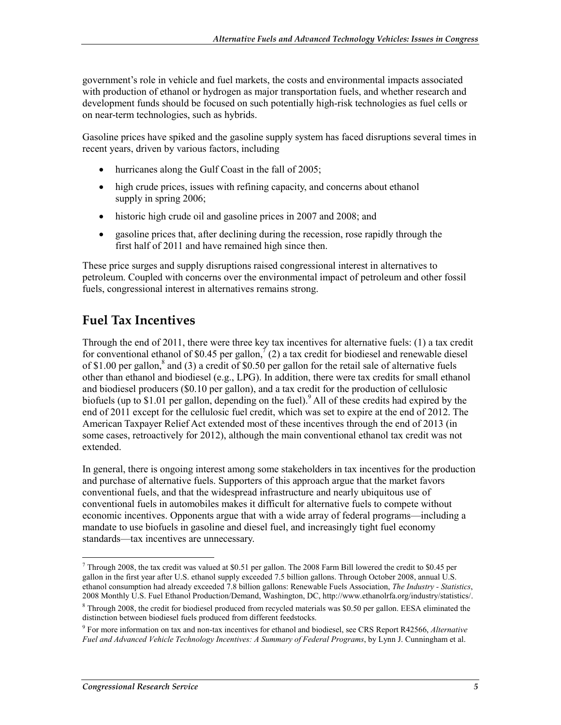government's role in vehicle and fuel markets, the costs and environmental impacts associated with production of ethanol or hydrogen as major transportation fuels, and whether research and development funds should be focused on such potentially high-risk technologies as fuel cells or on near-term technologies, such as hybrids.

Gasoline prices have spiked and the gasoline supply system has faced disruptions several times in recent years, driven by various factors, including

- hurricanes along the Gulf Coast in the fall of 2005;
- high crude prices, issues with refining capacity, and concerns about ethanol supply in spring 2006;
- historic high crude oil and gasoline prices in 2007 and 2008; and
- gasoline prices that, after declining during the recession, rose rapidly through the first half of 2011 and have remained high since then.

These price surges and supply disruptions raised congressional interest in alternatives to petroleum. Coupled with concerns over the environmental impact of petroleum and other fossil fuels, congressional interest in alternatives remains strong.

# **Fuel Tax Incentives**

Through the end of 2011, there were three key tax incentives for alternative fuels: (1) a tax credit for conventional ethanol of \$0.45 per gallon,<sup> $\bar{7}$ </sup> (2) a tax credit for biodiesel and renewable diesel of \$1.00 per gallon,<sup>8</sup> and (3) a credit of \$0.50 per gallon for the retail sale of alternative fuels other than ethanol and biodiesel (e.g., LPG). In addition, there were tax credits for small ethanol and biodiesel producers (\$0.10 per gallon), and a tax credit for the production of cellulosic biofuels (up to \$1.01 per gallon, depending on the fuel). All of these credits had expired by the end of 2011 except for the cellulosic fuel credit, which was set to expire at the end of 2012. The American Taxpayer Relief Act extended most of these incentives through the end of 2013 (in some cases, retroactively for 2012), although the main conventional ethanol tax credit was not extended.

In general, there is ongoing interest among some stakeholders in tax incentives for the production and purchase of alternative fuels. Supporters of this approach argue that the market favors conventional fuels, and that the widespread infrastructure and nearly ubiquitous use of conventional fuels in automobiles makes it difficult for alternative fuels to compete without economic incentives. Opponents argue that with a wide array of federal programs—including a mandate to use biofuels in gasoline and diesel fuel, and increasingly tight fuel economy standards—tax incentives are unnecessary.

<sup>1</sup>  $7$  Through 2008, the tax credit was valued at \$0.51 per gallon. The 2008 Farm Bill lowered the credit to \$0.45 per gallon in the first year after U.S. ethanol supply exceeded 7.5 billion gallons. Through October 2008, annual U.S. ethanol consumption had already exceeded 7.8 billion gallons: Renewable Fuels Association, *The Industry - Statistics*, 2008 Monthly U.S. Fuel Ethanol Production/Demand, Washington, DC, http://www.ethanolrfa.org/industry/statistics/.

<sup>&</sup>lt;sup>8</sup> Through 2008, the credit for biodiesel produced from recycled materials was \$0.50 per gallon. EESA eliminated the distinction between biodiesel fuels produced from different feedstocks.

<sup>9</sup> For more information on tax and non-tax incentives for ethanol and biodiesel, see CRS Report R42566, *Alternative Fuel and Advanced Vehicle Technology Incentives: A Summary of Federal Programs*, by Lynn J. Cunningham et al.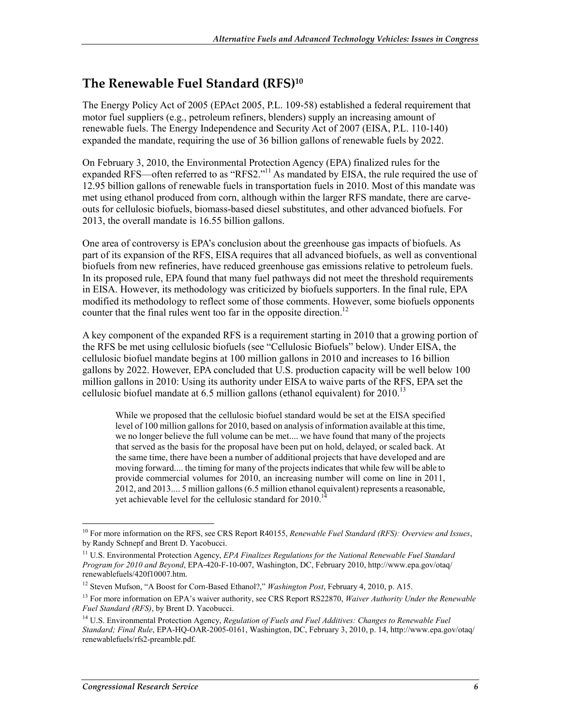### **The Renewable Fuel Standard (RFS)10**

The Energy Policy Act of 2005 (EPAct 2005, P.L. 109-58) established a federal requirement that motor fuel suppliers (e.g., petroleum refiners, blenders) supply an increasing amount of renewable fuels. The Energy Independence and Security Act of 2007 (EISA, P.L. 110-140) expanded the mandate, requiring the use of 36 billion gallons of renewable fuels by 2022.

On February 3, 2010, the Environmental Protection Agency (EPA) finalized rules for the expanded RFS—often referred to as "RFS2."<sup>11</sup> As mandated by EISA, the rule required the use of 12.95 billion gallons of renewable fuels in transportation fuels in 2010. Most of this mandate was met using ethanol produced from corn, although within the larger RFS mandate, there are carveouts for cellulosic biofuels, biomass-based diesel substitutes, and other advanced biofuels. For 2013, the overall mandate is 16.55 billion gallons.

One area of controversy is EPA's conclusion about the greenhouse gas impacts of biofuels. As part of its expansion of the RFS, EISA requires that all advanced biofuels, as well as conventional biofuels from new refineries, have reduced greenhouse gas emissions relative to petroleum fuels. In its proposed rule, EPA found that many fuel pathways did not meet the threshold requirements in EISA. However, its methodology was criticized by biofuels supporters. In the final rule, EPA modified its methodology to reflect some of those comments. However, some biofuels opponents counter that the final rules went too far in the opposite direction.<sup>12</sup>

A key component of the expanded RFS is a requirement starting in 2010 that a growing portion of the RFS be met using cellulosic biofuels (see "Cellulosic Biofuels" below). Under EISA, the cellulosic biofuel mandate begins at 100 million gallons in 2010 and increases to 16 billion gallons by 2022. However, EPA concluded that U.S. production capacity will be well below 100 million gallons in 2010: Using its authority under EISA to waive parts of the RFS, EPA set the cellulosic biofuel mandate at  $6.5$  million gallons (ethanol equivalent) for  $2010$ <sup>13</sup>

While we proposed that the cellulosic biofuel standard would be set at the EISA specified level of 100 million gallons for 2010, based on analysis of information available at this time, we no longer believe the full volume can be met.... we have found that many of the projects that served as the basis for the proposal have been put on hold, delayed, or scaled back. At the same time, there have been a number of additional projects that have developed and are moving forward.... the timing for many of the projects indicates that while few will be able to provide commercial volumes for 2010, an increasing number will come on line in 2011, 2012, and 2013.... 5 million gallons (6.5 million ethanol equivalent) represents a reasonable, yet achievable level for the cellulosic standard for 2010.<sup>14</sup>

<sup>&</sup>lt;u>.</u> 10 For more information on the RFS, see CRS Report R40155, *Renewable Fuel Standard (RFS): Overview and Issues*, by Randy Schnepf and Brent D. Yacobucci.

<sup>11</sup> U.S. Environmental Protection Agency, *EPA Finalizes Regulations for the National Renewable Fuel Standard Program for 2010 and Beyond*, EPA-420-F-10-007, Washington, DC, February 2010, http://www.epa.gov/otaq/ renewablefuels/420f10007.htm.

<sup>12</sup> Steven Mufson, "A Boost for Corn-Based Ethanol?," *Washington Post*, February 4, 2010, p. A15.

<sup>13</sup> For more information on EPA's waiver authority, see CRS Report RS22870, *Waiver Authority Under the Renewable Fuel Standard (RFS)*, by Brent D. Yacobucci.

<sup>14</sup> U.S. Environmental Protection Agency, *Regulation of Fuels and Fuel Additives: Changes to Renewable Fuel Standard; Final Rule*, EPA-HQ-OAR-2005-0161, Washington, DC, February 3, 2010, p. 14, http://www.epa.gov/otaq/ renewablefuels/rfs2-preamble.pdf.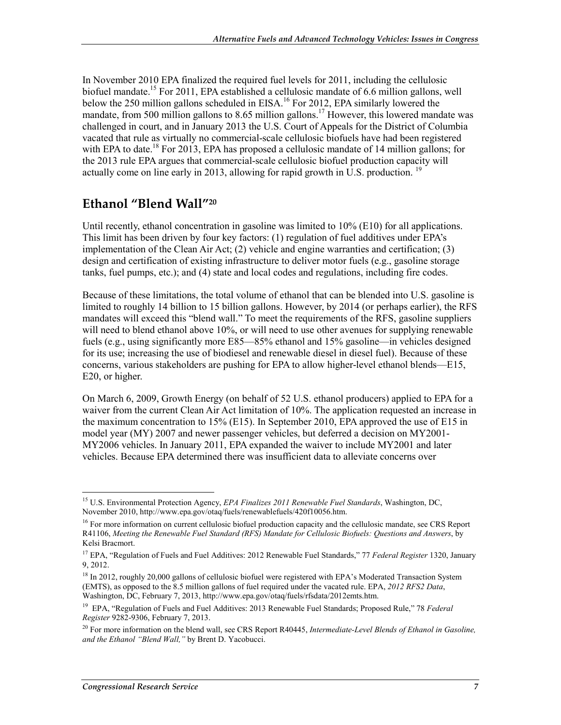In November 2010 EPA finalized the required fuel levels for 2011, including the cellulosic biofuel mandate.<sup>15</sup> For 2011, EPA established a cellulosic mandate of 6.6 million gallons, well below the 250 million gallons scheduled in EISA.<sup>16</sup> For 2012, EPA similarly lowered the mandate, from 500 million gallons to 8.65 million gallons.<sup>17</sup> However, this lowered mandate was challenged in court, and in January 2013 the U.S. Court of Appeals for the District of Columbia vacated that rule as virtually no commercial-scale cellulosic biofuels have had been registered with EPA to date.<sup>18</sup> For 2013, EPA has proposed a cellulosic mandate of 14 million gallons; for the 2013 rule EPA argues that commercial-scale cellulosic biofuel production capacity will actually come on line early in 2013, allowing for rapid growth in U.S. production.  $19$ 

## **Ethanol "Blend Wall"20**

Until recently, ethanol concentration in gasoline was limited to 10% (E10) for all applications. This limit has been driven by four key factors: (1) regulation of fuel additives under EPA's implementation of the Clean Air Act; (2) vehicle and engine warranties and certification; (3) design and certification of existing infrastructure to deliver motor fuels (e.g., gasoline storage tanks, fuel pumps, etc.); and (4) state and local codes and regulations, including fire codes.

Because of these limitations, the total volume of ethanol that can be blended into U.S. gasoline is limited to roughly 14 billion to 15 billion gallons. However, by 2014 (or perhaps earlier), the RFS mandates will exceed this "blend wall." To meet the requirements of the RFS, gasoline suppliers will need to blend ethanol above 10%, or will need to use other avenues for supplying renewable fuels (e.g., using significantly more E85—85% ethanol and 15% gasoline—in vehicles designed for its use; increasing the use of biodiesel and renewable diesel in diesel fuel). Because of these concerns, various stakeholders are pushing for EPA to allow higher-level ethanol blends—E15, E20, or higher.

On March 6, 2009, Growth Energy (on behalf of 52 U.S. ethanol producers) applied to EPA for a waiver from the current Clean Air Act limitation of 10%. The application requested an increase in the maximum concentration to 15% (E15). In September 2010, EPA approved the use of E15 in model year (MY) 2007 and newer passenger vehicles, but deferred a decision on MY2001- MY2006 vehicles. In January 2011, EPA expanded the waiver to include MY2001 and later vehicles. Because EPA determined there was insufficient data to alleviate concerns over

<u>.</u>

<sup>15</sup> U.S. Environmental Protection Agency, *EPA Finalizes 2011 Renewable Fuel Standards*, Washington, DC, November 2010, http://www.epa.gov/otaq/fuels/renewablefuels/420f10056.htm.

<sup>&</sup>lt;sup>16</sup> For more information on current cellulosic biofuel production capacity and the cellulosic mandate, see CRS Report R41106, *Meeting the Renewable Fuel Standard (RFS) Mandate for Cellulosic Biofuels: Questions and Answers*, by Kelsi Bracmort.

<sup>17</sup> EPA, "Regulation of Fuels and Fuel Additives: 2012 Renewable Fuel Standards," 77 *Federal Register* 1320, January 9, 2012.

<sup>&</sup>lt;sup>18</sup> In 2012, roughly 20,000 gallons of cellulosic biofuel were registered with EPA's Moderated Transaction System (EMTS), as opposed to the 8.5 million gallons of fuel required under the vacated rule. EPA, *2012 RFS2 Data*, Washington, DC, February 7, 2013, http://www.epa.gov/otaq/fuels/rfsdata/2012emts.htm.

<sup>19</sup> EPA, "Regulation of Fuels and Fuel Additives: 2013 Renewable Fuel Standards; Proposed Rule," 78 *Federal Register* 9282-9306, February 7, 2013.

<sup>&</sup>lt;sup>20</sup> For more information on the blend wall, see CRS Report R40445, *Intermediate-Level Blends of Ethanol in Gasoline*, *and the Ethanol "Blend Wall,"* by Brent D. Yacobucci.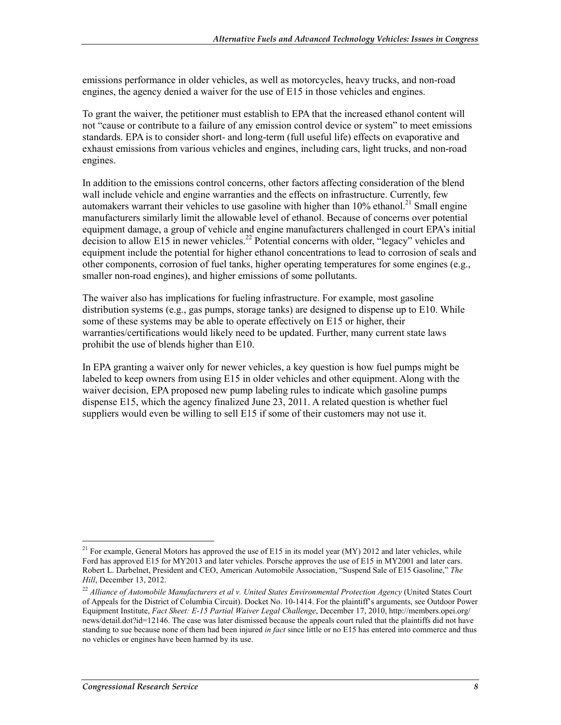emissions performance in older vehicles, as well as motorcycles, heavy trucks, and non-road engines, the agency denied a waiver for the use of E15 in those vehicles and engines.

To grant the waiver, the petitioner must establish to EPA that the increased ethanol content will not "cause or contribute to a failure of any emission control device or system" to meet emissions standards. EPA is to consider short- and long-term (full useful life) effects on evaporative and exhaust emissions from various vehicles and engines, including cars, light trucks, and non-road engines.

In addition to the emissions control concerns, other factors affecting consideration of the blend wall include vehicle and engine warranties and the effects on infrastructure. Currently, few automakers warrant their vehicles to use gasoline with higher than  $10\%$  ethanol.<sup>21</sup> Small engine manufacturers similarly limit the allowable level of ethanol. Because of concerns over potential equipment damage, a group of vehicle and engine manufacturers challenged in court EPA's initial decision to allow E15 in newer vehicles.<sup>22</sup> Potential concerns with older, "legacy" vehicles and equipment include the potential for higher ethanol concentrations to lead to corrosion of seals and other components, corrosion of fuel tanks, higher operating temperatures for some engines (e.g., smaller non-road engines), and higher emissions of some pollutants.

The waiver also has implications for fueling infrastructure. For example, most gasoline distribution systems (e.g., gas pumps, storage tanks) are designed to dispense up to E10. While some of these systems may be able to operate effectively on E15 or higher, their warranties/certifications would likely need to be updated. Further, many current state laws prohibit the use of blends higher than E10.

In EPA granting a waiver only for newer vehicles, a key question is how fuel pumps might be labeled to keep owners from using E15 in older vehicles and other equipment. Along with the waiver decision, EPA proposed new pump labeling rules to indicate which gasoline pumps dispense E15, which the agency finalized June 23, 2011. A related question is whether fuel suppliers would even be willing to sell E15 if some of their customers may not use it.

<sup>1</sup> <sup>21</sup> For example, General Motors has approved the use of E15 in its model year (MY) 2012 and later vehicles, while Ford has approved E15 for MY2013 and later vehicles. Porsche approves the use of E15 in MY2001 and later cars. Robert L. Darbelnet, President and CEO, American Automobile Association, "Suspend Sale of E15 Gasoline," *The Hill*, December 13, 2012.

<sup>22</sup> *Alliance of Automobile Manufacturers et al v. United States Environmental Protection Agency* (United States Court of Appeals for the District of Columbia Circuit). Docket No. 10-1414. For the plaintiff's arguments, see Outdoor Power Equipment Institute, *Fact Sheet: E-15 Partial Waiver Legal Challenge*, December 17, 2010, http://members.opei.org/ news/detail.dot?id=12146. The case was later dismissed because the appeals court ruled that the plaintiffs did not have standing to sue because none of them had been injured *in fact* since little or no E15 has entered into commerce and thus no vehicles or engines have been harmed by its use.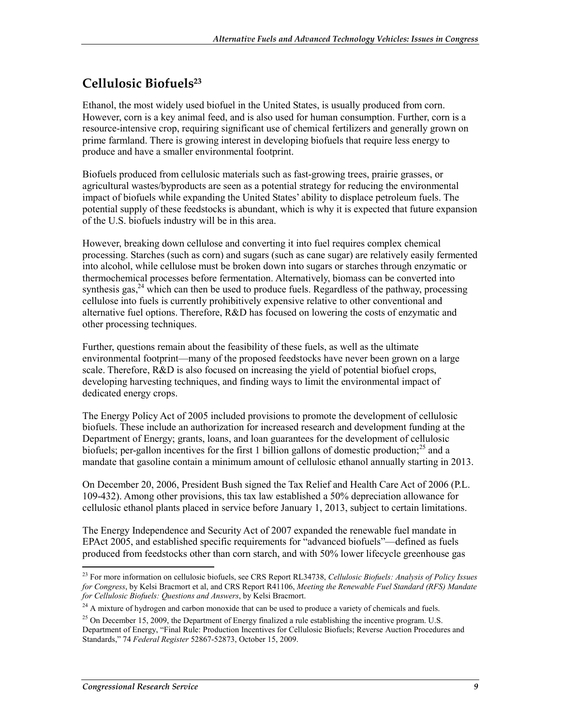## **Cellulosic Biofuels23**

Ethanol, the most widely used biofuel in the United States, is usually produced from corn. However, corn is a key animal feed, and is also used for human consumption. Further, corn is a resource-intensive crop, requiring significant use of chemical fertilizers and generally grown on prime farmland. There is growing interest in developing biofuels that require less energy to produce and have a smaller environmental footprint.

Biofuels produced from cellulosic materials such as fast-growing trees, prairie grasses, or agricultural wastes/byproducts are seen as a potential strategy for reducing the environmental impact of biofuels while expanding the United States' ability to displace petroleum fuels. The potential supply of these feedstocks is abundant, which is why it is expected that future expansion of the U.S. biofuels industry will be in this area.

However, breaking down cellulose and converting it into fuel requires complex chemical processing. Starches (such as corn) and sugars (such as cane sugar) are relatively easily fermented into alcohol, while cellulose must be broken down into sugars or starches through enzymatic or thermochemical processes before fermentation. Alternatively, biomass can be converted into synthesis gas, $^{24}$  which can then be used to produce fuels. Regardless of the pathway, processing cellulose into fuels is currently prohibitively expensive relative to other conventional and alternative fuel options. Therefore, R&D has focused on lowering the costs of enzymatic and other processing techniques.

Further, questions remain about the feasibility of these fuels, as well as the ultimate environmental footprint—many of the proposed feedstocks have never been grown on a large scale. Therefore, R&D is also focused on increasing the yield of potential biofuel crops, developing harvesting techniques, and finding ways to limit the environmental impact of dedicated energy crops.

The Energy Policy Act of 2005 included provisions to promote the development of cellulosic biofuels. These include an authorization for increased research and development funding at the Department of Energy; grants, loans, and loan guarantees for the development of cellulosic biofuels; per-gallon incentives for the first 1 billion gallons of domestic production;<sup>25</sup> and a mandate that gasoline contain a minimum amount of cellulosic ethanol annually starting in 2013.

On December 20, 2006, President Bush signed the Tax Relief and Health Care Act of 2006 (P.L. 109-432). Among other provisions, this tax law established a 50% depreciation allowance for cellulosic ethanol plants placed in service before January 1, 2013, subject to certain limitations.

The Energy Independence and Security Act of 2007 expanded the renewable fuel mandate in EPAct 2005, and established specific requirements for "advanced biofuels"—defined as fuels produced from feedstocks other than corn starch, and with 50% lower lifecycle greenhouse gas

1

<sup>23</sup> For more information on cellulosic biofuels, see CRS Report RL34738, *Cellulosic Biofuels: Analysis of Policy Issues for Congress*, by Kelsi Bracmort et al, and CRS Report R41106, *Meeting the Renewable Fuel Standard (RFS) Mandate for Cellulosic Biofuels: Questions and Answers*, by Kelsi Bracmort.

<sup>&</sup>lt;sup>24</sup> A mixture of hydrogen and carbon monoxide that can be used to produce a variety of chemicals and fuels.

<sup>&</sup>lt;sup>25</sup> On December 15, 2009, the Department of Energy finalized a rule establishing the incentive program. U.S. Department of Energy, "Final Rule: Production Incentives for Cellulosic Biofuels; Reverse Auction Procedures and Standards," 74 *Federal Register* 52867-52873, October 15, 2009.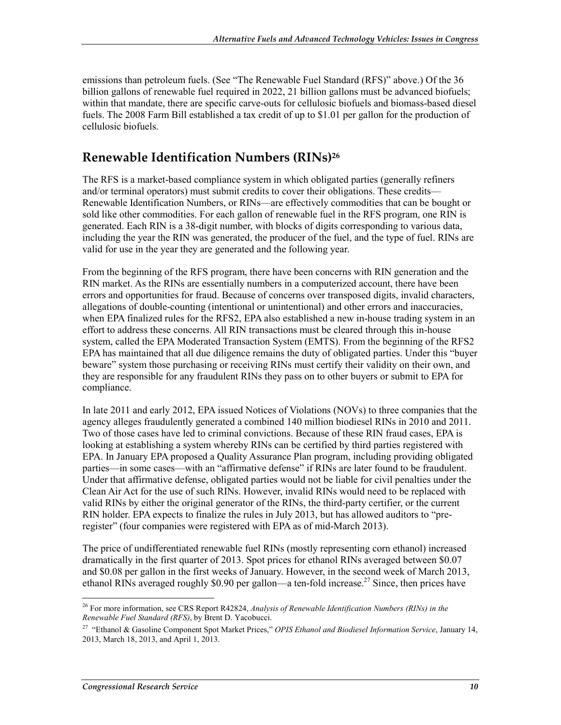emissions than petroleum fuels. (See "The Renewable Fuel Standard (RFS)" above.) Of the 36 billion gallons of renewable fuel required in 2022, 21 billion gallons must be advanced biofuels; within that mandate, there are specific carve-outs for cellulosic biofuels and biomass-based diesel fuels. The 2008 Farm Bill established a tax credit of up to \$1.01 per gallon for the production of cellulosic biofuels.

## **Renewable Identification Numbers (RINs)26**

The RFS is a market-based compliance system in which obligated parties (generally refiners and/or terminal operators) must submit credits to cover their obligations. These credits— Renewable Identification Numbers, or RINs—are effectively commodities that can be bought or sold like other commodities. For each gallon of renewable fuel in the RFS program, one RIN is generated. Each RIN is a 38-digit number, with blocks of digits corresponding to various data, including the year the RIN was generated, the producer of the fuel, and the type of fuel. RINs are valid for use in the year they are generated and the following year.

From the beginning of the RFS program, there have been concerns with RIN generation and the RIN market. As the RINs are essentially numbers in a computerized account, there have been errors and opportunities for fraud. Because of concerns over transposed digits, invalid characters, allegations of double-counting (intentional or unintentional) and other errors and inaccuracies, when EPA finalized rules for the RFS2, EPA also established a new in-house trading system in an effort to address these concerns. All RIN transactions must be cleared through this in-house system, called the EPA Moderated Transaction System (EMTS). From the beginning of the RFS2 EPA has maintained that all due diligence remains the duty of obligated parties. Under this "buyer beware" system those purchasing or receiving RINs must certify their validity on their own, and they are responsible for any fraudulent RINs they pass on to other buyers or submit to EPA for compliance.

In late 2011 and early 2012, EPA issued Notices of Violations (NOVs) to three companies that the agency alleges fraudulently generated a combined 140 million biodiesel RINs in 2010 and 2011. Two of those cases have led to criminal convictions. Because of these RIN fraud cases, EPA is looking at establishing a system whereby RINs can be certified by third parties registered with EPA. In January EPA proposed a Quality Assurance Plan program, including providing obligated parties—in some cases—with an "affirmative defense" if RINs are later found to be fraudulent. Under that affirmative defense, obligated parties would not be liable for civil penalties under the Clean Air Act for the use of such RINs. However, invalid RINs would need to be replaced with valid RINs by either the original generator of the RINs, the third-party certifier, or the current RIN holder. EPA expects to finalize the rules in July 2013, but has allowed auditors to "preregister" (four companies were registered with EPA as of mid-March 2013).

The price of undifferentiated renewable fuel RINs (mostly representing corn ethanol) increased dramatically in the first quarter of 2013. Spot prices for ethanol RINs averaged between \$0.07 and \$0.08 per gallon in the first weeks of January. However, in the second week of March 2013, ethanol RINs averaged roughly \$0.90 per gallon—a ten-fold increase.<sup>27</sup> Since, then prices have

<sup>1</sup> 26 For more information, see CRS Report R42824, *Analysis of Renewable Identification Numbers (RINs) in the Renewable Fuel Standard (RFS)*, by Brent D. Yacobucci.

<sup>27 &</sup>quot;Ethanol & Gasoline Component Spot Market Prices," *OPIS Ethanol and Biodiesel Information Service*, January 14, 2013, March 18, 2013, and April 1, 2013.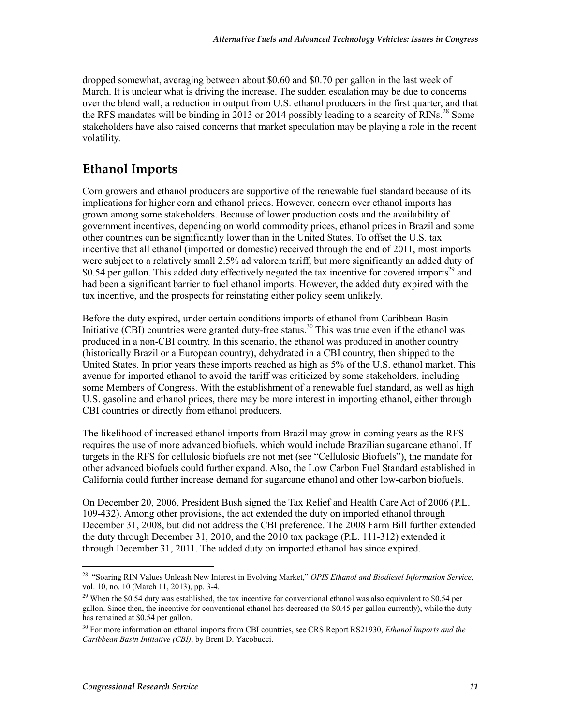dropped somewhat, averaging between about \$0.60 and \$0.70 per gallon in the last week of March. It is unclear what is driving the increase. The sudden escalation may be due to concerns over the blend wall, a reduction in output from U.S. ethanol producers in the first quarter, and that the RFS mandates will be binding in 2013 or 2014 possibly leading to a scarcity of RINs.<sup>28</sup> Some stakeholders have also raised concerns that market speculation may be playing a role in the recent volatility.

## **Ethanol Imports**

Corn growers and ethanol producers are supportive of the renewable fuel standard because of its implications for higher corn and ethanol prices. However, concern over ethanol imports has grown among some stakeholders. Because of lower production costs and the availability of government incentives, depending on world commodity prices, ethanol prices in Brazil and some other countries can be significantly lower than in the United States. To offset the U.S. tax incentive that all ethanol (imported or domestic) received through the end of 2011, most imports were subject to a relatively small 2.5% ad valorem tariff, but more significantly an added duty of \$0.54 per gallon. This added duty effectively negated the tax incentive for covered imports<sup>29</sup> and had been a significant barrier to fuel ethanol imports. However, the added duty expired with the tax incentive, and the prospects for reinstating either policy seem unlikely.

Before the duty expired, under certain conditions imports of ethanol from Caribbean Basin Initiative (CBI) countries were granted duty-free status.<sup>30</sup> This was true even if the ethanol was produced in a non-CBI country. In this scenario, the ethanol was produced in another country (historically Brazil or a European country), dehydrated in a CBI country, then shipped to the United States. In prior years these imports reached as high as 5% of the U.S. ethanol market. This avenue for imported ethanol to avoid the tariff was criticized by some stakeholders, including some Members of Congress. With the establishment of a renewable fuel standard, as well as high U.S. gasoline and ethanol prices, there may be more interest in importing ethanol, either through CBI countries or directly from ethanol producers.

The likelihood of increased ethanol imports from Brazil may grow in coming years as the RFS requires the use of more advanced biofuels, which would include Brazilian sugarcane ethanol. If targets in the RFS for cellulosic biofuels are not met (see "Cellulosic Biofuels"), the mandate for other advanced biofuels could further expand. Also, the Low Carbon Fuel Standard established in California could further increase demand for sugarcane ethanol and other low-carbon biofuels.

On December 20, 2006, President Bush signed the Tax Relief and Health Care Act of 2006 (P.L. 109-432). Among other provisions, the act extended the duty on imported ethanol through December 31, 2008, but did not address the CBI preference. The 2008 Farm Bill further extended the duty through December 31, 2010, and the 2010 tax package (P.L. 111-312) extended it through December 31, 2011. The added duty on imported ethanol has since expired.

<sup>1</sup> 28 "Soaring RIN Values Unleash New Interest in Evolving Market," *OPIS Ethanol and Biodiesel Information Service*, vol. 10, no. 10 (March 11, 2013), pp. 3-4.

<sup>&</sup>lt;sup>29</sup> When the \$0.54 duty was established, the tax incentive for conventional ethanol was also equivalent to \$0.54 per gallon. Since then, the incentive for conventional ethanol has decreased (to \$0.45 per gallon currently), while the duty has remained at \$0.54 per gallon.

<sup>30</sup> For more information on ethanol imports from CBI countries, see CRS Report RS21930, *Ethanol Imports and the Caribbean Basin Initiative (CBI)*, by Brent D. Yacobucci.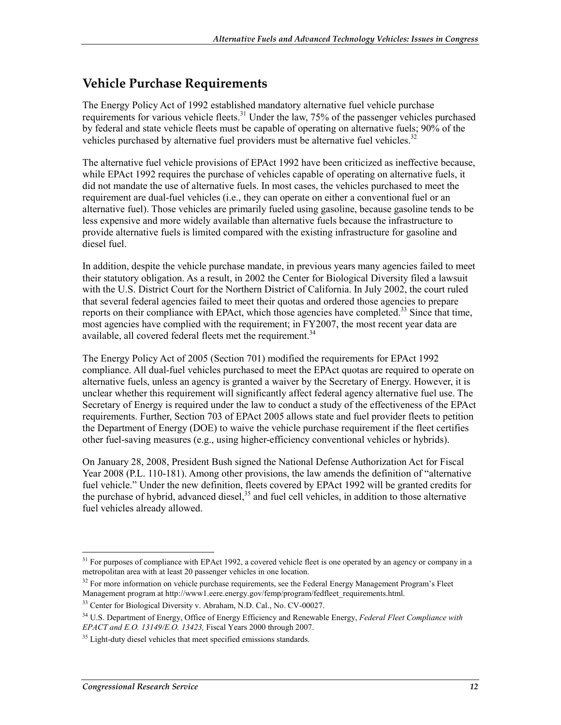## **Vehicle Purchase Requirements**

The Energy Policy Act of 1992 established mandatory alternative fuel vehicle purchase requirements for various vehicle fleets.<sup>31</sup> Under the law, 75% of the passenger vehicles purchased by federal and state vehicle fleets must be capable of operating on alternative fuels; 90% of the vehicles purchased by alternative fuel providers must be alternative fuel vehicles.<sup>32</sup>

The alternative fuel vehicle provisions of EPAct 1992 have been criticized as ineffective because, while EPAct 1992 requires the purchase of vehicles capable of operating on alternative fuels, it did not mandate the use of alternative fuels. In most cases, the vehicles purchased to meet the requirement are dual-fuel vehicles (i.e., they can operate on either a conventional fuel or an alternative fuel). Those vehicles are primarily fueled using gasoline, because gasoline tends to be less expensive and more widely available than alternative fuels because the infrastructure to provide alternative fuels is limited compared with the existing infrastructure for gasoline and diesel fuel.

In addition, despite the vehicle purchase mandate, in previous years many agencies failed to meet their statutory obligation. As a result, in 2002 the Center for Biological Diversity filed a lawsuit with the U.S. District Court for the Northern District of California. In July 2002, the court ruled that several federal agencies failed to meet their quotas and ordered those agencies to prepare reports on their compliance with EPAct, which those agencies have completed.<sup>33</sup> Since that time, most agencies have complied with the requirement; in FY2007, the most recent year data are available, all covered federal fleets met the requirement.<sup>34</sup>

The Energy Policy Act of 2005 (Section 701) modified the requirements for EPAct 1992 compliance. All dual-fuel vehicles purchased to meet the EPAct quotas are required to operate on alternative fuels, unless an agency is granted a waiver by the Secretary of Energy. However, it is unclear whether this requirement will significantly affect federal agency alternative fuel use. The Secretary of Energy is required under the law to conduct a study of the effectiveness of the EPAct requirements. Further, Section 703 of EPAct 2005 allows state and fuel provider fleets to petition the Department of Energy (DOE) to waive the vehicle purchase requirement if the fleet certifies other fuel-saving measures (e.g., using higher-efficiency conventional vehicles or hybrids).

On January 28, 2008, President Bush signed the National Defense Authorization Act for Fiscal Year 2008 (P.L. 110-181). Among other provisions, the law amends the definition of "alternative fuel vehicle." Under the new definition, fleets covered by EPAct 1992 will be granted credits for the purchase of hybrid, advanced diesel, $35$  and fuel cell vehicles, in addition to those alternative fuel vehicles already allowed.

1

<sup>&</sup>lt;sup>31</sup> For purposes of compliance with EPAct 1992, a covered vehicle fleet is one operated by an agency or company in a metropolitan area with at least 20 passenger vehicles in one location.

 $32$  For more information on vehicle purchase requirements, see the Federal Energy Management Program's Fleet Management program at http://www1.eere.energy.gov/femp/program/fedfleet\_requirements.html.

<sup>&</sup>lt;sup>33</sup> Center for Biological Diversity v. Abraham, N.D. Cal., No. CV-00027.

<sup>34</sup> U.S. Department of Energy, Office of Energy Efficiency and Renewable Energy, *Federal Fleet Compliance with EPACT and E.O. 13149/E.O. 13423,* Fiscal Years 2000 through 2007.

<sup>&</sup>lt;sup>35</sup> Light-duty diesel vehicles that meet specified emissions standards.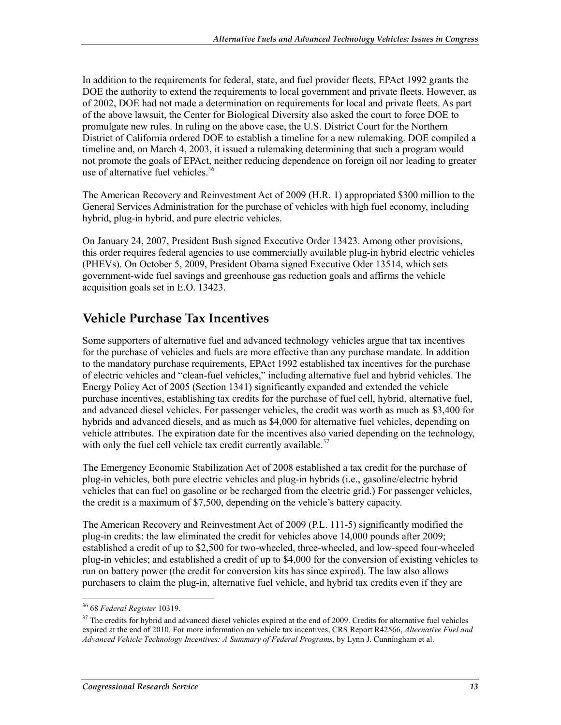In addition to the requirements for federal, state, and fuel provider fleets, EPAct 1992 grants the DOE the authority to extend the requirements to local government and private fleets. However, as of 2002, DOE had not made a determination on requirements for local and private fleets. As part of the above lawsuit, the Center for Biological Diversity also asked the court to force DOE to promulgate new rules. In ruling on the above case, the U.S. District Court for the Northern District of California ordered DOE to establish a timeline for a new rulemaking. DOE compiled a timeline and, on March 4, 2003, it issued a rulemaking determining that such a program would not promote the goals of EPAct, neither reducing dependence on foreign oil nor leading to greater use of alternative fuel vehicles.<sup>36</sup>

The American Recovery and Reinvestment Act of 2009 (H.R. 1) appropriated \$300 million to the General Services Administration for the purchase of vehicles with high fuel economy, including hybrid, plug-in hybrid, and pure electric vehicles.

On January 24, 2007, President Bush signed Executive Order 13423. Among other provisions, this order requires federal agencies to use commercially available plug-in hybrid electric vehicles (PHEVs). On October 5, 2009, President Obama signed Executive Oder 13514, which sets government-wide fuel savings and greenhouse gas reduction goals and affirms the vehicle acquisition goals set in E.O. 13423.

# **Vehicle Purchase Tax Incentives**

Some supporters of alternative fuel and advanced technology vehicles argue that tax incentives for the purchase of vehicles and fuels are more effective than any purchase mandate. In addition to the mandatory purchase requirements, EPAct 1992 established tax incentives for the purchase of electric vehicles and "clean-fuel vehicles," including alternative fuel and hybrid vehicles. The Energy Policy Act of 2005 (Section 1341) significantly expanded and extended the vehicle purchase incentives, establishing tax credits for the purchase of fuel cell, hybrid, alternative fuel, and advanced diesel vehicles. For passenger vehicles, the credit was worth as much as \$3,400 for hybrids and advanced diesels, and as much as \$4,000 for alternative fuel vehicles, depending on vehicle attributes. The expiration date for the incentives also varied depending on the technology, with only the fuel cell vehicle tax credit currently available.<sup>37</sup>

The Emergency Economic Stabilization Act of 2008 established a tax credit for the purchase of plug-in vehicles, both pure electric vehicles and plug-in hybrids (i.e., gasoline/electric hybrid vehicles that can fuel on gasoline or be recharged from the electric grid.) For passenger vehicles, the credit is a maximum of \$7,500, depending on the vehicle's battery capacity.

The American Recovery and Reinvestment Act of 2009 (P.L. 111-5) significantly modified the plug-in credits: the law eliminated the credit for vehicles above 14,000 pounds after 2009; established a credit of up to \$2,500 for two-wheeled, three-wheeled, and low-speed four-wheeled plug-in vehicles; and established a credit of up to \$4,000 for the conversion of existing vehicles to run on battery power (the credit for conversion kits has since expired). The law also allows purchasers to claim the plug-in, alternative fuel vehicle, and hybrid tax credits even if they are

<sup>1</sup> 36 68 *Federal Register* 10319.

<sup>&</sup>lt;sup>37</sup> The credits for hybrid and advanced diesel vehicles expired at the end of 2009. Credits for alternative fuel vehicles expired at the end of 2010. For more information on vehicle tax incentives, CRS Report R42566, *Alternative Fuel and Advanced Vehicle Technology Incentives: A Summary of Federal Programs*, by Lynn J. Cunningham et al.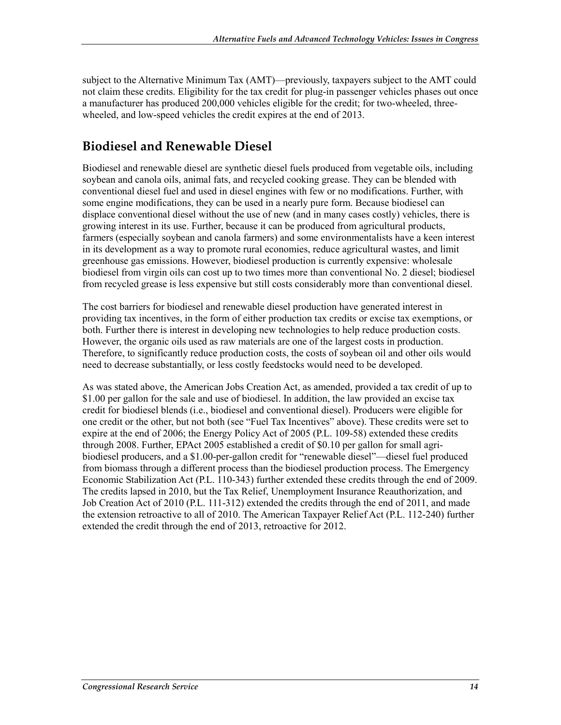subject to the Alternative Minimum Tax (AMT)—previously, taxpayers subject to the AMT could not claim these credits. Eligibility for the tax credit for plug-in passenger vehicles phases out once a manufacturer has produced 200,000 vehicles eligible for the credit; for two-wheeled, threewheeled, and low-speed vehicles the credit expires at the end of 2013.

## **Biodiesel and Renewable Diesel**

Biodiesel and renewable diesel are synthetic diesel fuels produced from vegetable oils, including soybean and canola oils, animal fats, and recycled cooking grease. They can be blended with conventional diesel fuel and used in diesel engines with few or no modifications. Further, with some engine modifications, they can be used in a nearly pure form. Because biodiesel can displace conventional diesel without the use of new (and in many cases costly) vehicles, there is growing interest in its use. Further, because it can be produced from agricultural products, farmers (especially soybean and canola farmers) and some environmentalists have a keen interest in its development as a way to promote rural economies, reduce agricultural wastes, and limit greenhouse gas emissions. However, biodiesel production is currently expensive: wholesale biodiesel from virgin oils can cost up to two times more than conventional No. 2 diesel; biodiesel from recycled grease is less expensive but still costs considerably more than conventional diesel.

The cost barriers for biodiesel and renewable diesel production have generated interest in providing tax incentives, in the form of either production tax credits or excise tax exemptions, or both. Further there is interest in developing new technologies to help reduce production costs. However, the organic oils used as raw materials are one of the largest costs in production. Therefore, to significantly reduce production costs, the costs of soybean oil and other oils would need to decrease substantially, or less costly feedstocks would need to be developed.

As was stated above, the American Jobs Creation Act, as amended, provided a tax credit of up to \$1.00 per gallon for the sale and use of biodiesel. In addition, the law provided an excise tax credit for biodiesel blends (i.e., biodiesel and conventional diesel). Producers were eligible for one credit or the other, but not both (see "Fuel Tax Incentives" above). These credits were set to expire at the end of 2006; the Energy Policy Act of 2005 (P.L. 109-58) extended these credits through 2008. Further, EPAct 2005 established a credit of \$0.10 per gallon for small agribiodiesel producers, and a \$1.00-per-gallon credit for "renewable diesel"—diesel fuel produced from biomass through a different process than the biodiesel production process. The Emergency Economic Stabilization Act (P.L. 110-343) further extended these credits through the end of 2009. The credits lapsed in 2010, but the Tax Relief, Unemployment Insurance Reauthorization, and Job Creation Act of 2010 (P.L. 111-312) extended the credits through the end of 2011, and made the extension retroactive to all of 2010. The American Taxpayer Relief Act (P.L. 112-240) further extended the credit through the end of 2013, retroactive for 2012.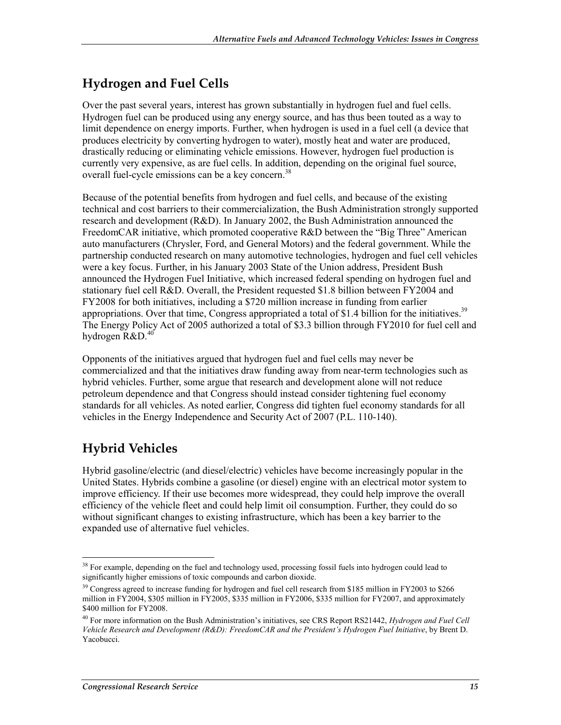## **Hydrogen and Fuel Cells**

Over the past several years, interest has grown substantially in hydrogen fuel and fuel cells. Hydrogen fuel can be produced using any energy source, and has thus been touted as a way to limit dependence on energy imports. Further, when hydrogen is used in a fuel cell (a device that produces electricity by converting hydrogen to water), mostly heat and water are produced, drastically reducing or eliminating vehicle emissions. However, hydrogen fuel production is currently very expensive, as are fuel cells. In addition, depending on the original fuel source, overall fuel-cycle emissions can be a key concern.<sup>38</sup>

Because of the potential benefits from hydrogen and fuel cells, and because of the existing technical and cost barriers to their commercialization, the Bush Administration strongly supported research and development (R&D). In January 2002, the Bush Administration announced the FreedomCAR initiative, which promoted cooperative R&D between the "Big Three" American auto manufacturers (Chrysler, Ford, and General Motors) and the federal government. While the partnership conducted research on many automotive technologies, hydrogen and fuel cell vehicles were a key focus. Further, in his January 2003 State of the Union address, President Bush announced the Hydrogen Fuel Initiative, which increased federal spending on hydrogen fuel and stationary fuel cell R&D. Overall, the President requested \$1.8 billion between FY2004 and FY2008 for both initiatives, including a \$720 million increase in funding from earlier appropriations. Over that time, Congress appropriated a total of \$1.4 billion for the initiatives.<sup>39</sup> The Energy Policy Act of 2005 authorized a total of \$3.3 billion through FY2010 for fuel cell and hydrogen  $R&D.<sup>40</sup>$ 

Opponents of the initiatives argued that hydrogen fuel and fuel cells may never be commercialized and that the initiatives draw funding away from near-term technologies such as hybrid vehicles. Further, some argue that research and development alone will not reduce petroleum dependence and that Congress should instead consider tightening fuel economy standards for all vehicles. As noted earlier, Congress did tighten fuel economy standards for all vehicles in the Energy Independence and Security Act of 2007 (P.L. 110-140).

# **Hybrid Vehicles**

Hybrid gasoline/electric (and diesel/electric) vehicles have become increasingly popular in the United States. Hybrids combine a gasoline (or diesel) engine with an electrical motor system to improve efficiency. If their use becomes more widespread, they could help improve the overall efficiency of the vehicle fleet and could help limit oil consumption. Further, they could do so without significant changes to existing infrastructure, which has been a key barrier to the expanded use of alternative fuel vehicles.

<sup>1</sup> <sup>38</sup> For example, depending on the fuel and technology used, processing fossil fuels into hydrogen could lead to significantly higher emissions of toxic compounds and carbon dioxide.

<sup>&</sup>lt;sup>39</sup> Congress agreed to increase funding for hydrogen and fuel cell research from \$185 million in FY2003 to \$266 million in FY2004, \$305 million in FY2005, \$335 million in FY2006, \$335 million for FY2007, and approximately \$400 million for FY2008.

<sup>40</sup> For more information on the Bush Administration's initiatives, see CRS Report RS21442, *Hydrogen and Fuel Cell Vehicle Research and Development (R&D): FreedomCAR and the President's Hydrogen Fuel Initiative*, by Brent D. Yacobucci.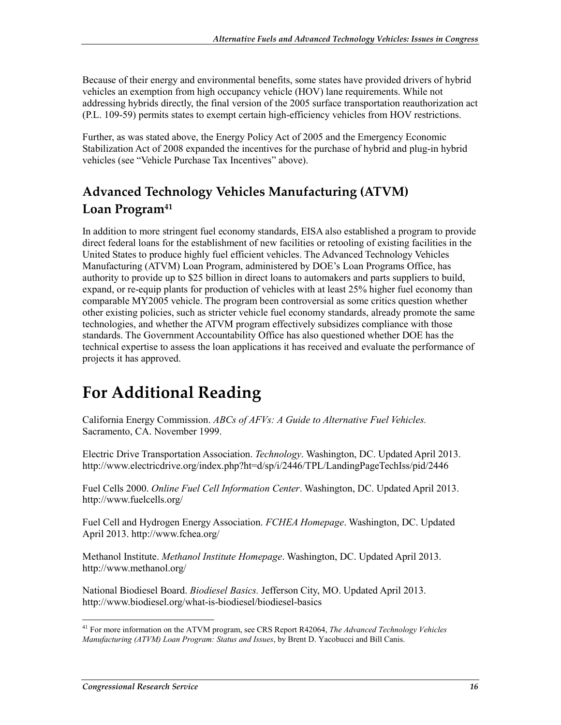Because of their energy and environmental benefits, some states have provided drivers of hybrid vehicles an exemption from high occupancy vehicle (HOV) lane requirements. While not addressing hybrids directly, the final version of the 2005 surface transportation reauthorization act (P.L. 109-59) permits states to exempt certain high-efficiency vehicles from HOV restrictions.

Further, as was stated above, the Energy Policy Act of 2005 and the Emergency Economic Stabilization Act of 2008 expanded the incentives for the purchase of hybrid and plug-in hybrid vehicles (see "Vehicle Purchase Tax Incentives" above).

# **Advanced Technology Vehicles Manufacturing (ATVM)**  Loan Program<sup>41</sup>

In addition to more stringent fuel economy standards, EISA also established a program to provide direct federal loans for the establishment of new facilities or retooling of existing facilities in the United States to produce highly fuel efficient vehicles. The Advanced Technology Vehicles Manufacturing (ATVM) Loan Program, administered by DOE's Loan Programs Office, has authority to provide up to \$25 billion in direct loans to automakers and parts suppliers to build, expand, or re-equip plants for production of vehicles with at least 25% higher fuel economy than comparable MY2005 vehicle. The program been controversial as some critics question whether other existing policies, such as stricter vehicle fuel economy standards, already promote the same technologies, and whether the ATVM program effectively subsidizes compliance with those standards. The Government Accountability Office has also questioned whether DOE has the technical expertise to assess the loan applications it has received and evaluate the performance of projects it has approved.

# **For Additional Reading**

California Energy Commission. *ABCs of AFVs: A Guide to Alternative Fuel Vehicles.* Sacramento, CA. November 1999.

Electric Drive Transportation Association. *Technology*. Washington, DC. Updated April 2013. http://www.electricdrive.org/index.php?ht=d/sp/i/2446/TPL/LandingPageTechIss/pid/2446

Fuel Cells 2000. *Online Fuel Cell Information Center*. Washington, DC. Updated April 2013. http://www.fuelcells.org/

Fuel Cell and Hydrogen Energy Association. *FCHEA Homepage*. Washington, DC. Updated April 2013. http://www.fchea.org/

Methanol Institute. *Methanol Institute Homepage*. Washington, DC. Updated April 2013. http://www.methanol.org/

National Biodiesel Board. *Biodiesel Basics.* Jefferson City, MO. Updated April 2013. http://www.biodiesel.org/what-is-biodiesel/biodiesel-basics

<sup>1</sup> 41 For more information on the ATVM program, see CRS Report R42064, *The Advanced Technology Vehicles Manufacturing (ATVM) Loan Program: Status and Issues*, by Brent D. Yacobucci and Bill Canis.